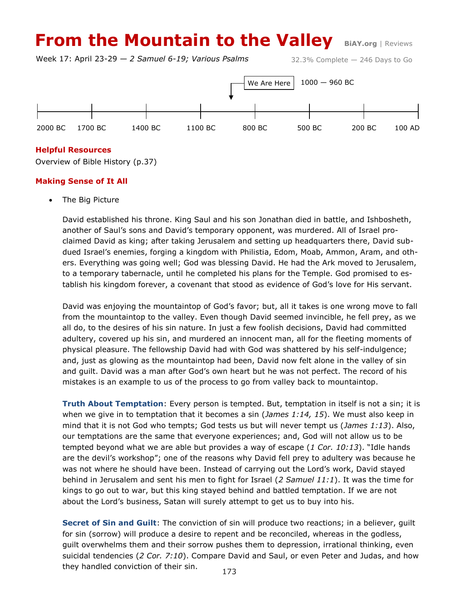# **From the Mountain to the Valley BiAY.org | Reviews**

Week 17: April 23-29 — *2 Samuel 6-19; Various Psalms*

32.3% Complete — 246 Days to Go



## **Helpful Resources**

Overview of Bible History (p.37)

## **Making Sense of It All**

The Big Picture

David established his throne. King Saul and his son Jonathan died in battle, and Ishbosheth, another of Saul's sons and David's temporary opponent, was murdered. All of Israel proclaimed David as king; after taking Jerusalem and setting up headquarters there, David subdued Israel's enemies, forging a kingdom with Philistia, Edom, Moab, Ammon, Aram, and others. Everything was going well; God was blessing David. He had the Ark moved to Jerusalem, to a temporary tabernacle, until he completed his plans for the Temple. God promised to establish his kingdom forever, a covenant that stood as evidence of God's love for His servant.

David was enjoying the mountaintop of God's favor; but, all it takes is one wrong move to fall from the mountaintop to the valley. Even though David seemed invincible, he fell prey, as we all do, to the desires of his sin nature. In just a few foolish decisions, David had committed adultery, covered up his sin, and murdered an innocent man, all for the fleeting moments of physical pleasure. The fellowship David had with God was shattered by his self-indulgence; and, just as glowing as the mountaintop had been, David now felt alone in the valley of sin and guilt. David was a man after God's own heart but he was not perfect. The record of his mistakes is an example to us of the process to go from valley back to mountaintop.

**Truth About Temptation**: Every person is tempted. But, temptation in itself is not a sin; it is when we give in to temptation that it becomes a sin (*James 1:14, 15*). We must also keep in mind that it is not God who tempts; God tests us but will never tempt us (*James 1:13*). Also, our temptations are the same that everyone experiences; and, God will not allow us to be tempted beyond what we are able but provides a way of escape (*1 Cor. 10:13*). "Idle hands are the devil's workshop"; one of the reasons why David fell prey to adultery was because he was not where he should have been. Instead of carrying out the Lord's work, David stayed behind in Jerusalem and sent his men to fight for Israel (*2 Samuel 11:1*). It was the time for kings to go out to war, but this king stayed behind and battled temptation. If we are not about the Lord's business, Satan will surely attempt to get us to buy into his.

**Secret of Sin and Guilt**: The conviction of sin will produce two reactions; in a believer, guilt for sin (sorrow) will produce a desire to repent and be reconciled, whereas in the godless, guilt overwhelms them and their sorrow pushes them to depression, irrational thinking, even suicidal tendencies (*2 Cor. 7:10*). Compare David and Saul, or even Peter and Judas, and how they handled conviction of their sin.